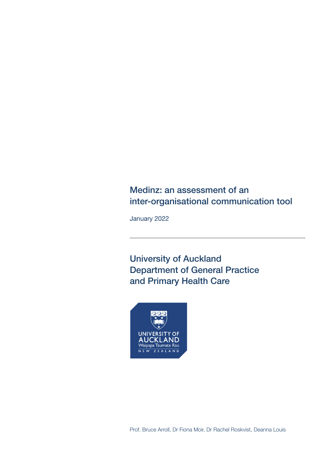# Medinz: an assessment of an inter-organisational communication tool

January 2022

University of Auckland Department of General Practice and Primary Health Care

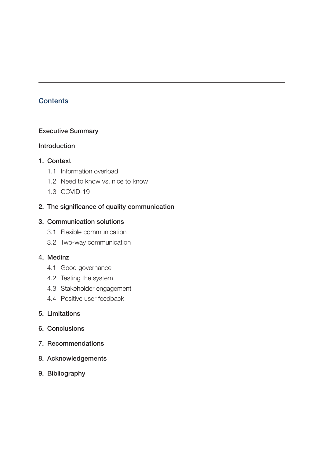# **Contents**

## Executive Summary

## Introduction

## 1. Context

- 1.1 Information overload
- 1.2 Need to know vs. nice to know
- 1.3 COVID-19

# 2. The significance of quality communication

## 3. Communication solutions

- 3.1 Flexible communication
- 3.2 Two-way communication

## 4. Medinz

- 4.1 Good governance
- 4.2 Testing the system
- 4.3 Stakeholder engagement
- 4.4 Positive user feedback

## 5. Limitations

- 6. Conclusions
- 7. Recommendations
- 8. Acknowledgements
- 9. Bibliography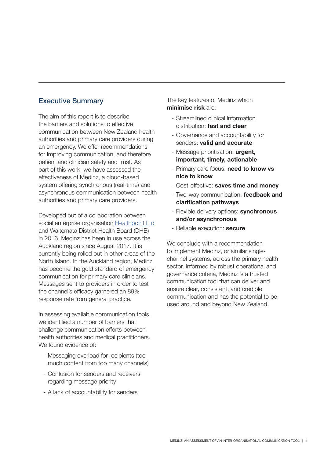# Executive Summary

The aim of this report is to describe the barriers and solutions to effective communication between New Zealand health authorities and primary care providers during an emergency. We offer recommendations for improving communication, and therefore patient and clinician safety and trust. As part of this work, we have assessed the effectiveness of Medinz, a cloud-based system offering synchronous (real-time) and asynchronous communication between health authorities and primary care providers.

Developed out of a collaboration between social enterprise organisation Healthpoint Ltd and Waitematā District Health Board (DHB) in 2016, Medinz has been in use across the Auckland region since August 2017. It is currently being rolled out in other areas of the North Island. In the Auckland region, Medinz has become the gold standard of emergency communication for primary care clinicians. Messages sent to providers in order to test the channel's efficacy garnered an 89% response rate from general practice.

In assessing available communication tools, we identified a number of barriers that challenge communication efforts between health authorities and medical practitioners. We found evidence of:

- Messaging overload for recipients (too much content from too many channels)
- Confusion for senders and receivers regarding message priority
- A lack of accountability for senders

The key features of Medinz which **minimise risk** are:

- Streamlined clinical information distribution: **fast and clear**
- Governance and accountability for senders: **valid and accurate**
- Message prioritisation: **urgent, important, timely, actionable**
- Primary care focus: **need to know vs nice to know**
- Cost-effective: **saves time and money**
- Two-way communication: **feedback and clarification pathways**
- Flexible delivery options: **synchronous and/or asynchronous**
- Reliable execution: **secure**

We conclude with a recommendation to implement Medinz, or similar singlechannel systems, across the primary health sector. Informed by robust operational and governance criteria, Medinz is a trusted communication tool that can deliver and ensure clear, consistent, and credible communication and has the potential to be used around and beyond New Zealand.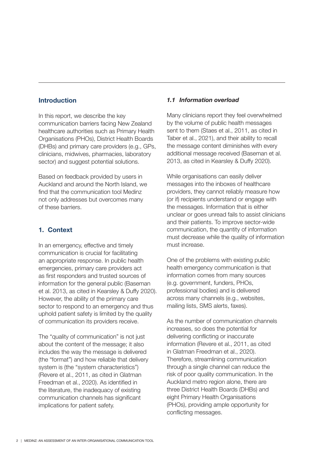## **Introduction**

In this report, we describe the key communication barriers facing New Zealand healthcare authorities such as Primary Health Organisations (PHOs), District Health Boards (DHBs) and primary care providers (e.g., GPs, clinicians, midwives, pharmacies, laboratory sector) and suggest potential solutions.

Based on feedback provided by users in Auckland and around the North Island, we find that the communication tool Medinz not only addresses but overcomes many of these barriers.

## **1. Context**

In an emergency, effective and timely communication is crucial for facilitating an appropriate response. In public health emergencies, primary care providers act as first responders and trusted sources of information for the general public (Baseman et al. 2013, as cited in Kearsley & Duffy 2020). However, the ability of the primary care sector to respond to an emergency and thus uphold patient safety is limited by the quality of communication its providers receive.

The "quality of communication" is not just about the content of the message; it also includes the way the message is delivered (the "format") and how reliable that delivery system is (the "system characteristics") (Revere et al., 2011, as cited in Glatman Freedman et al., 2020). As identified in the literature, the inadequacy of existing communication channels has significant implications for patient safety.

## *1.1 Information overload*

Many clinicians report they feel overwhelmed by the volume of public health messages sent to them (Staes et al., 2011, as cited in Taber et al., 2021), and their ability to recall the message content diminishes with every additional message received (Baseman et al. 2013, as cited in Kearsley & Duffy 2020).

While organisations can easily deliver messages into the inboxes of healthcare providers, they cannot reliably measure how (or if) recipients understand or engage with the messages. Information that is either unclear or goes unread fails to assist clinicians and their patients. To improve sector-wide communication, the quantity of information must decrease while the quality of information must increase.

One of the problems with existing public health emergency communication is that information comes from many sources (e.g. government, funders, PHOs, professional bodies) and is delivered across many channels (e.g., websites, mailing lists, SMS alerts, faxes).

As the number of communication channels increases, so does the potential for delivering conflicting or inaccurate information (Revere et al., 2011, as cited in Glatman Freedman et al., 2020). Therefore, streamlining communication through a single channel can reduce the risk of poor quality communication. In the Auckland metro region alone, there are three District Health Boards (DHBs) and eight Primary Health Organisations (PHOs), providing ample opportunity for conflicting messages.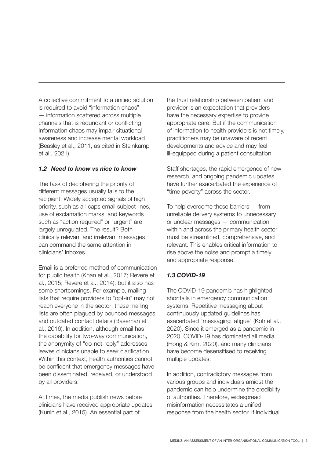A collective commitment to a unified solution is required to avoid "information chaos" — information scattered across multiple channels that is redundant or conflicting. Information chaos may impair situational awareness and increase mental workload (Beasley et al., 2011, as cited in Steinkamp et al., 2021).

## *1.2 Need to know vs nice to know*

The task of deciphering the priority of different messages usually falls to the recipient. Widely accepted signals of high priority, such as all-caps email subject lines, use of exclamation marks, and keywords such as "action required" or "urgent" are largely unregulated. The result? Both clinically relevant and irrelevant messages can command the same attention in clinicians' inboxes.

Email is a preferred method of communication for public health (Khan et al., 2017; Revere et al., 2015; Revere et al., 2014), but it also has some shortcomings. For example, mailing lists that require providers to "opt-in" may not reach everyone in the sector; these mailing lists are often plagued by bounced messages and outdated contact details (Baseman et al., 2016). In addition, although email has the capability for two-way communication, the anonymity of "do-not-reply" addresses leaves clinicians unable to seek clarification. Within this context, health authorities cannot be confident that emergency messages have been disseminated, received, or understood by all providers.

At times, the media publish news before clinicians have received appropriate updates (Kunin et al., 2015). An essential part of

the trust relationship between patient and provider is an expectation that providers have the necessary expertise to provide appropriate care. But if the communication of information to health providers is not timely, practitioners may be unaware of recent developments and advice and may feel ill-equipped during a patient consultation.

Staff shortages, the rapid emergence of new research, and ongoing pandemic updates have further exacerbated the experience of "time poverty" across the sector.

To help overcome these barriers — from unreliable delivery systems to unnecessary or unclear messages — communication within and across the primary health sector must be streamlined, comprehensive, and relevant. This enables critical information to rise above the noise and prompt a timely and appropriate response.

## *1.3 COVID-19*

The COVID-19 pandemic has highlighted shortfalls in emergency communication systems. Repetitive messaging about continuously updated guidelines has exacerbated "messaging fatigue" (Koh et al., 2020). Since it emerged as a pandemic in 2020, COVID-19 has dominated all media (Hong & Kim, 2020), and many clinicians have become desensitised to receiving multiple updates.

In addition, contradictory messages from various groups and individuals amidst the pandemic can help undermine the credibility of authorities. Therefore, widespread misinformation necessitates a unified response from the health sector. If individual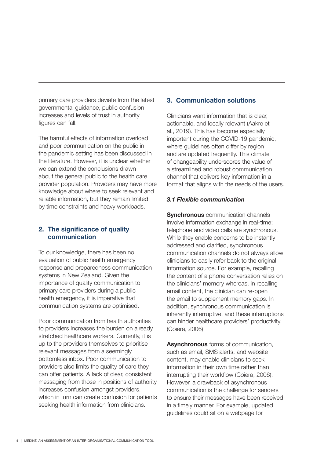primary care providers deviate from the latest governmental guidance, public confusion increases and levels of trust in authority figures can fall.

The harmful effects of information overload and poor communication on the public in the pandemic setting has been discussed in the literature. However, it is unclear whether we can extend the conclusions drawn about the general public to the health care provider population. Providers may have more knowledge about where to seek relevant and reliable information, but they remain limited by time constraints and heavy workloads.

## **2. The significance of quality communication**

To our knowledge, there has been no evaluation of public health emergency response and preparedness communication systems in New Zealand. Given the importance of quality communication to primary care providers during a public health emergency, it is imperative that communication systems are optimised.

Poor communication from health authorities to providers increases the burden on already stretched healthcare workers. Currently, it is up to the providers themselves to prioritise relevant messages from a seemingly bottomless inbox. Poor communication to providers also limits the quality of care they can offer patients. A lack of clear, consistent messaging from those in positions of authority increases confusion amongst providers, which in turn can create confusion for patients seeking health information from clinicians.

## **3. Communication solutions**

Clinicians want information that is clear, actionable, and locally relevant (Aakre et al., 2019). This has become especially important during the COVID-19 pandemic, where quidelines often differ by region and are updated frequently. This climate of changeability underscores the value of a streamlined and robust communication channel that delivers key information in a format that aligns with the needs of the users.

## *3.1 Flexible communication*

**Synchronous** communication channels involve information exchange in real-time; telephone and video calls are synchronous. While they enable concerns to be instantly addressed and clarified, synchronous communication channels do not always allow clinicians to easily refer back to the original information source. For example, recalling the content of a phone conversation relies on the clinicians' memory whereas, in recalling email content, the clinician can re-open the email to supplement memory gaps. In addition, synchronous communication is inherently interruptive, and these interruptions can hinder healthcare providers' productivity. (Coiera, 2006)

**Asynchronous** forms of communication, such as email, SMS alerts, and website content, may enable clinicians to seek information in their own time rather than interrupting their workflow (Coiera, 2006). However, a drawback of asynchronous communication is the challenge for senders to ensure their messages have been received in a timely manner. For example, updated guidelines could sit on a webpage for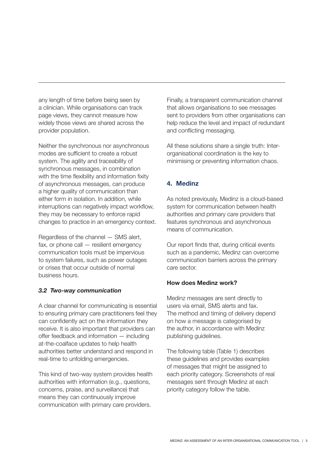any length of time before being seen by a clinician. While organisations can track page views, they cannot measure how widely those views are shared across the provider population.

Neither the synchronous nor asynchronous modes are sufficient to create a robust system. The agility and traceability of synchronous messages, in combination with the time flexibility and information fixity of asynchronous messages, can produce a higher quality of communication than either form in isolation. In addition, while interruptions can negatively impact workflow, they may be necessary to enforce rapid changes to practice in an emergency context.

Regardless of the channel — SMS alert, fax, or phone call — resilient emergency communication tools must be impervious to system failures, such as power outages or crises that occur outside of normal business hours.

## *3.2 Two-way communication*

A clear channel for communicating is essential to ensuring primary care practitioners feel they can confidently act on the information they receive. It is also important that providers can offer feedback and information — including at-the-coalface updates to help health authorities better understand and respond in real-time to unfolding emergencies.

This kind of two-way system provides health authorities with information (e.g., questions, concerns, praise, and surveillance) that means they can continuously improve communication with primary care providers.

Finally, a transparent communication channel that allows organisations to see messages sent to providers from other organisations can help reduce the level and impact of redundant and conflicting messaging.

All these solutions share a single truth: Interorganisational coordination is the key to minimising or preventing information chaos.

# **4. Medinz**

As noted previously, Medinz is a cloud-based system for communication between health authorities and primary care providers that features synchronous and asynchronous means of communication.

Our report finds that, during critical events such as a pandemic, Medinz can overcome communication barriers across the primary care sector.

## **How does Medinz work?**

Medinz messages are sent directly to users via email, SMS alerts and fax. The method and timing of delivery depend on how a message is categorised by the author, in accordance with Medinz publishing guidelines.

The following table (Table 1) describes these guidelines and provides examples of messages that might be assigned to each priority category. Screenshots of real messages sent through Medinz at each priority category follow the table.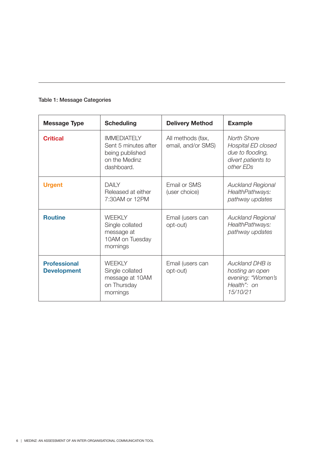|  |  | <b>Table 1: Message Categories</b> |
|--|--|------------------------------------|
|--|--|------------------------------------|

| <b>Message Type</b>                       | <b>Scheduling</b>                                                                            | <b>Delivery Method</b>                  | <b>Example</b>                                                                           |
|-------------------------------------------|----------------------------------------------------------------------------------------------|-----------------------------------------|------------------------------------------------------------------------------------------|
| <b>Critical</b>                           | <b>IMMEDIATELY</b><br>Sent 5 minutes after<br>being published<br>on the Medinz<br>dashboard. | All methods (fax,<br>email, and/or SMS) | North Shore<br>Hospital ED closed<br>due to flooding,<br>divert patients to<br>other EDs |
| <b>Urgent</b>                             | <b>DAILY</b><br>Released at either<br>7:30AM or 12PM                                         | Email or SMS<br>(user choice)           | <b>Auckland Regional</b><br>HealthPathways:<br>pathway updates                           |
| <b>Routine</b>                            | <b>WEEKLY</b><br>Single collated<br>message at<br>10AM on Tuesday<br>mornings                | Email (users can<br>opt-out)            | <b>Auckland Regional</b><br>HealthPathways:<br>pathway updates                           |
| <b>Professional</b><br><b>Development</b> | <b>WEEKLY</b><br>Single collated<br>message at 10AM<br>on Thursday<br>mornings               | Email (users can<br>opt-out)            | Auckland DHB is<br>hosting an open<br>evening: "Women's<br>Health": on<br>15/10/21       |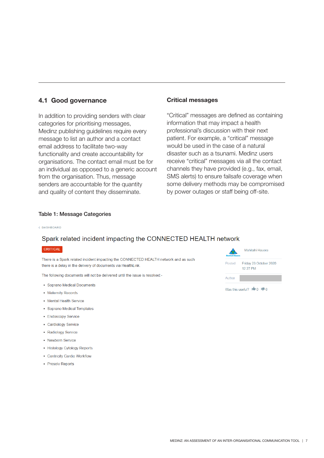## **4.1 Good governance**

In addition to providing senders with clear categories for prioritising messages, Medinz publishing guidelines require every message to list an author and a contact email address to facilitate two-way functionality and create accountability for organisations. The contact email must be for an individual as opposed to a generic account from the organisation. Thus, message senders are accountable for the quantity and quality of content they disseminate.

## **Critical messages**

"Critical" messages are defined as containing information that may impact a health professional's discussion with their next patient. For example, a "critical" message would be used in the case of a natural disaster such as a tsunami. Medinz users receive "critical" messages via all the contact channels they have provided (e.g., fax, email, SMS alerts) to ensure failsafe coverage when some delivery methods may be compromised by power outages or staff being off-site.

## Table 1: Message Categories

C DASHROARD

## Spark related incident impacting the CONNECTED HEALTH network

#### CRITICAL

There is a Spark related incident impacting the CONNECTED HEALTH network and as such there is a delay in the delivery of documents via HealthLink.

The following documents will not be delivered until the issue is resolved:-

- Soprano Medical Documents
- Maternity Records
- Mental Health Service
- Soprano Medical Templates
- Endoscopy Service
- Cardiology Service
- Radiology Service
- Newborn Service
- · Histology Cytology Reports
- Centricity Cardio Workflow
- Prosolv Reports



Was this useful?  $\mathbf{10} \times \mathbf{10}$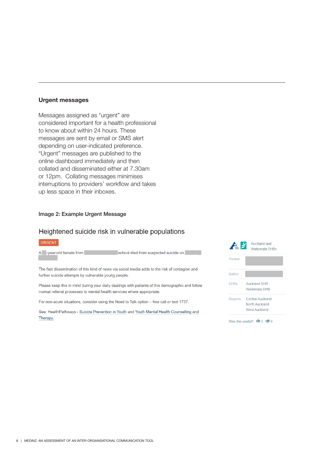## **Urgent messages**

Messages assigned as "urgent" are considered important for a health professional to know about within 24 hours. These messages are sent by email or SMS alert depending on user-indicated preference. "Urgent" messages are published to the online dashboard immediately and then collated and disseminated either at 7.30am or 12pm. Collating messages minimises interruptions to providers' workflow and takes up less space in their inboxes.

## Image 2: Example Urgent Message

## Heightened suicide risk in vulnerable populations

#### URGENT

A -year-old female from school died from suspected suicide on

The fast dissemination of this kind of news via social media adds to the risk of contagion and further suicide attempts by vulnerable young people.

Please keep this in mind during your daily dealings with patients of this demographic and follow normal referral processes to mental health services where appropriate.

For non-acute situations, consider using the Need to Talk option - free call or text 1737.

See: HealthPathways - Suicide Prevention in Youth and Youth Mental Health Counselling and Therapy.

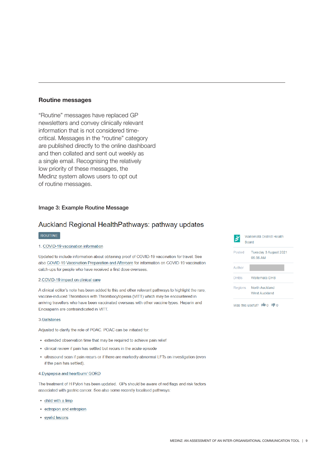## **Routine messages**

"Routine" messages have replaced GP newsletters and convey clinically relevant information that is not considered timecritical. Messages in the "routine" category are published directly to the online dashboard and then collated and sent out weekly as a single email. Recognising the relatively low priority of these messages, the Medinz system allows users to opt out of routine messages.

### Image 3: Example Routine Message

## Auckland Regional HealthPathways: pathway updates

#### ROUTINE

#### 1. COVID-19 vaccination information

Updated to include information about obtaining proof of COVID-19 vaccination for travel. See also COVID-19 Vaccination Preparation and Aftercare for information on COVID-19 vaccination catch-ups for people who have received a first dose overseas.

#### 2.COVID-19 impact on clinical care

A clinical editor's note has been added to this and other relevant pathways to highlight the rare, vaccine-induced Thrombosis with Thrombocytopenia (VITT) which may be encountered in arriving travellers who have been vaccinated overseas with other vaccine types. Heparin and Enoxaparin are contraindicated in VITT.

#### 3. Gallstones

Adjusted to clarify the role of POAC. POAC can be initiated for:

- extended observation time that may be required to achieve pain relief
- · clinical review if pain has settled but recurs in the acute episode
- · ultrasound scan if pain recurs or if there are markedly abnormal LFTs on investigation (even if the pain has settled).

#### 4. Dyspepsia and heartburn/ GORD

The treatment of H Pylori has been updated. GPs should be aware of red flags and risk factors associated with gastric cancer. See also some recently localised pathways:

- child with a limp
- ectropion and entropion
- · eyelid lesions

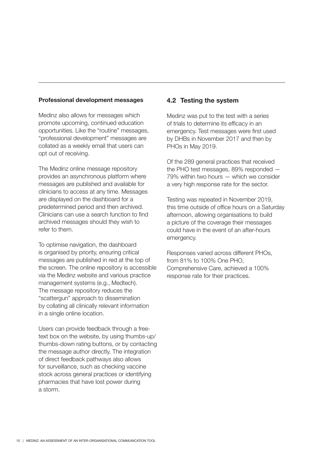## **Professional development messages**

Medinz also allows for messages which promote upcoming, continued education opportunities. Like the "routine" messages, "professional development" messages are collated as a weekly email that users can opt out of receiving.

The Medinz online message repository provides an asynchronous platform where messages are published and available for clinicians to access at any time. Messages are displayed on the dashboard for a predetermined period and then archived. Clinicians can use a search function to find archived messages should they wish to refer to them.

To optimise navigation, the dashboard is organised by priority, ensuring critical messages are published in red at the top of the screen. The online repository is accessible via the Medinz website and various practice management systems (e.g., Medtech). The message repository reduces the "scattergun" approach to dissemination by collating all clinically relevant information in a single online location.

Users can provide feedback through a freetext box on the website, by using thumbs-up/ thumbs-down rating buttons, or by contacting the message author directly. The integration of direct feedback pathways also allows for surveillance, such as checking vaccine stock across general practices or identifying pharmacies that have lost power during a storm.

## **4.2 Testing the system**

Medinz was put to the test with a series of trials to determine its efficacy in an emergency. Test messages were first used by DHBs in November 2017 and then by PHOs in May 2019.

Of the 289 general practices that received the PHO test messages, 89% responded — 79% within two hours — which we consider a very high response rate for the sector.

Testing was repeated in November 2019, this time outside of office hours on a Saturday afternoon, allowing organisations to build a picture of the coverage their messages could have in the event of an after-hours emergency.

Responses varied across different PHOs, from 81% to 100% One PHO, Comprehensive Care, achieved a 100% response rate for their practices.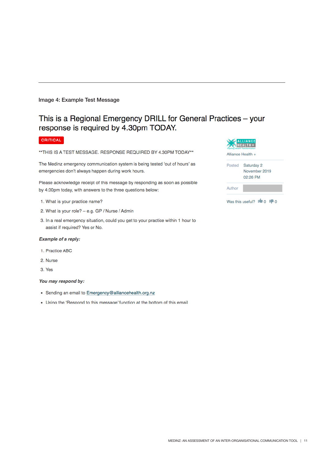### Image 4: Example Test Message

# This is a Regional Emergency DRILL for General Practices - your response is required by 4.30pm TODAY.

### CRITICAL

\*\* THIS IS A TEST MESSAGE. RESPONSE REQUIRED BY 4.30PM TODAY\*\*

The Medinz emergency communication system is being tested 'out of hours' as emergencies don't always happen during work hours.

Please acknowledge receipt of this message by responding as soon as possible by 4:30pm today, with answers to the three questions below:

- 1. What is your practice name?
- 2. What is your role? e.g. GP / Nurse / Admin
- 3. In a real emergency situation, could you get to your practice within 1 hour to assist if required? Yes or No.

#### Example of a reply:

- 1. Practice ABC
- 2. Nurse
- 3. Yes

#### You may respond by:

- Sending an email to Emergency@alliancehealth.org.nz
- . Using the 'Respond to this message' function at the bottom of this email

| <b>OO ALLIANCE</b>              |  |  |  |  |
|---------------------------------|--|--|--|--|
| <b>ON HEALTH+</b>               |  |  |  |  |
| Inspiring Health Transformation |  |  |  |  |

Alliance Health +

Author

Posted Saturday 2 November 2019 02:26 PM

Was this useful?  $\mathbf{I} \bullet \mathbf{0}$   $\mathbf{I} \bullet \mathbf{0}$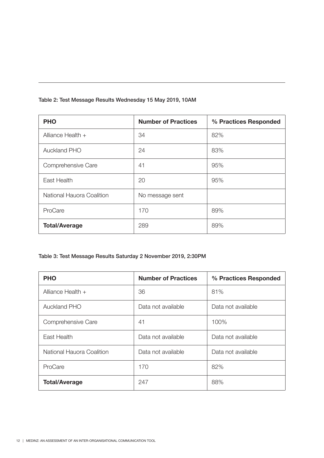|  |  | Table 2: Test Message Results Wednesday 15 May 2019, 10AM |
|--|--|-----------------------------------------------------------|
|--|--|-----------------------------------------------------------|

| <b>PHO</b>                | <b>Number of Practices</b> | % Practices Responded |
|---------------------------|----------------------------|-----------------------|
| Alliance Health $+$       | 34                         | 82%                   |
| <b>Auckland PHO</b>       | 24                         | 83%                   |
| Comprehensive Care        | 41                         | 95%                   |
| East Health               | 20                         | 95%                   |
| National Hauora Coalition | No message sent            |                       |
| ProCare                   | 170                        | 89%                   |
| <b>Total/Average</b>      | 289                        | 89%                   |

# Table 3: Test Message Results Saturday 2 November 2019, 2:30PM

| <b>PHO</b>                | <b>Number of Practices</b> | % Practices Responded |
|---------------------------|----------------------------|-----------------------|
| Alliance Health $+$       | 36                         | 81%                   |
| <b>Auckland PHO</b>       | Data not available         | Data not available    |
| Comprehensive Care        | 41                         | 100%                  |
| East Health               | Data not available         | Data not available    |
| National Hauora Coalition | Data not available         | Data not available    |
| ProCare                   | 170                        | 82%                   |
| <b>Total/Average</b>      | 247                        | 88%                   |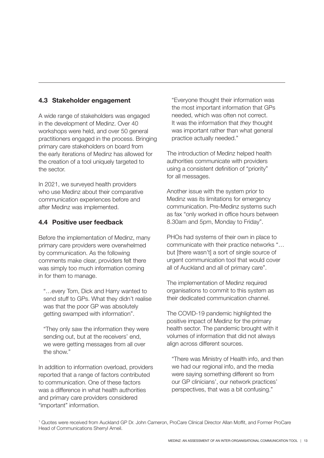# **4.3 Stakeholder engagement**

A wide range of stakeholders was engaged in the development of Medinz. Over 40 workshops were held, and over 50 general practitioners engaged in the process. Bringing primary care stakeholders on board from the early iterations of Medinz has allowed for the creation of a tool uniquely targeted to the sector.

In 2021, we surveyed health providers who use Medinz about their comparative communication experiences before and after Medinz was implemented.

## **4.4 Positive user feedback**

Before the implementation of Medinz, many primary care providers were overwhelmed by communication. As the following comments make clear, providers felt there was simply too much information coming in for them to manage.

 "…every Tom, Dick and Harry wanted to send stuff to GPs. What they didn't realise was that the poor GP was absolutely getting swamped with information".

 "They only saw the information they were sending out, but at the receivers' end, we were getting messages from all over the show."

In addition to information overload, providers reported that a range of factors contributed to communication. One of these factors was a difference in what health authorities and primary care providers considered "important" information.

 "Everyone thought their information was the most important information that GPs needed, which was often not correct. It was the information that *they* thought was important rather than what general practice actually needed."

The introduction of Medinz helped health authorities communicate with providers using a consistent definition of "priority" for all messages.

Another issue with the system prior to Medinz was its limitations for emergency communication. Pre-Medinz systems such as fax "only worked in office hours between 8.30am and 5pm, Monday to Friday".

PHOs had systems of their own in place to communicate with their practice networks "… but [there wasn't] a sort of single source of urgent communication tool that would cover all of Auckland and all of primary care".

The implementation of Medinz required organisations to commit to this system as their dedicated communication channel.

The COVID-19 pandemic highlighted the positive impact of Medinz for the primary health sector. The pandemic brought with it volumes of information that did not always align across different sources.

 "There was Ministry of Health info, and then we had our regional info, and the media were saying something different so from our GP clinicians', our network practices' perspectives, that was a bit confusing."

1 Quotes were received from Auckland GP Dr. John Cameron, ProCare Clinical Director Allan Moffit, and Former ProCare Head of Communications Sherryl Arneil.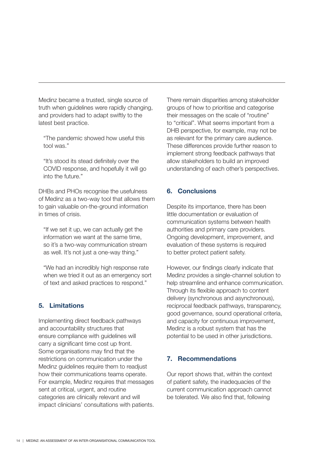Medinz became a trusted, single source of truth when guidelines were rapidly changing, and providers had to adapt swiftly to the latest best practice.

 "The pandemic showed how useful this tool was."

"It's stood its stead definitely over the COVID response, and hopefully it will go into the future."

DHBs and PHOs recognise the usefulness of Medinz as a two-way tool that allows them to gain valuable on-the-ground information in times of crisis.

 "If we set it up, we can actually get the information we want at the same time, so it's a two-way communication stream as well. It's not just a one-way thing."

 "We had an incredibly high response rate when we tried it out as an emergency sort of text and asked practices to respond."

## **5. Limitations**

Implementing direct feedback pathways and accountability structures that ensure compliance with guidelines will carry a significant time cost up front. Some organisations may find that the restrictions on communication under the Medinz guidelines require them to readjust how their communications teams operate. For example, Medinz requires that messages sent at critical, urgent, and routine categories are clinically relevant and will impact clinicians' consultations with patients.

There remain disparities among stakeholder groups of how to prioritise and categorise their messages on the scale of "routine" to "critical". What seems important from a DHB perspective, for example, may not be as relevant for the primary care audience. These differences provide further reason to implement strong feedback pathways that allow stakeholders to build an improved understanding of each other's perspectives.

## **6. Conclusions**

Despite its importance, there has been little documentation or evaluation of communication systems between health authorities and primary care providers. Ongoing development, improvement, and evaluation of these systems is required to better protect patient safety.

However, our findings clearly indicate that Medinz provides a single-channel solution to help streamline and enhance communication. Through its flexible approach to content delivery (synchronous and asynchronous), reciprocal feedback pathways, transparency, good governance, sound operational criteria, and capacity for continuous improvement, Medinz is a robust system that has the potential to be used in other jurisdictions.

## **7. Recommendations**

Our report shows that, within the context of patient safety, the inadequacies of the current communication approach cannot be tolerated. We also find that, following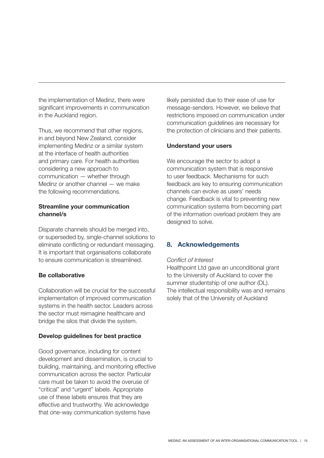the implementation of Medinz, there were significant improvements in communication in the Auckland region.

Thus, we recommend that other regions, in and beyond New Zealand, consider implementing Medinz or a similar system at the interface of health authorities and primary care. For health authorities considering a new approach to communication — whether through Medinz or another channel — we make the following recommendations.

## **Streamline your communication channel/s**

Disparate channels should be merged into, or superseded by, single-channel solutions to eliminate conflicting or redundant messaging. It is important that organisations collaborate to ensure communication is streamlined.

## **Be collaborative**

Collaboration will be crucial for the successful implementation of improved communication systems in the health sector. Leaders across the sector must reimagine healthcare and bridge the silos that divide the system.

## **Develop guidelines for best practice**

Good governance, including for content development and dissemination, is crucial to building, maintaining, and monitoring effective communication across the sector. Particular care must be taken to avoid the overuse of "critical" and "urgent" labels. Appropriate use of these labels ensures that they are effective and trustworthy. We acknowledge that one-way communication systems have

likely persisted due to their ease of use for message-senders. However, we believe that restrictions imposed on communication under communication guidelines are necessary for the protection of clinicians and their patients.

## **Understand your users**

We encourage the sector to adopt a communication system that is responsive to user feedback. Mechanisms for such feedback are key to ensuring communication channels can evolve as users' needs change. Feedback is vital to preventing new communication systems from becoming part of the information overload problem they are designed to solve.

## **8. Acknowledgements**

## *Conflict of Interest*

Healthpoint Ltd gave an unconditional grant to the University of Auckland to cover the summer studentship of one author (DL). The intellectual responsibility was and remains solely that of the University of Auckland